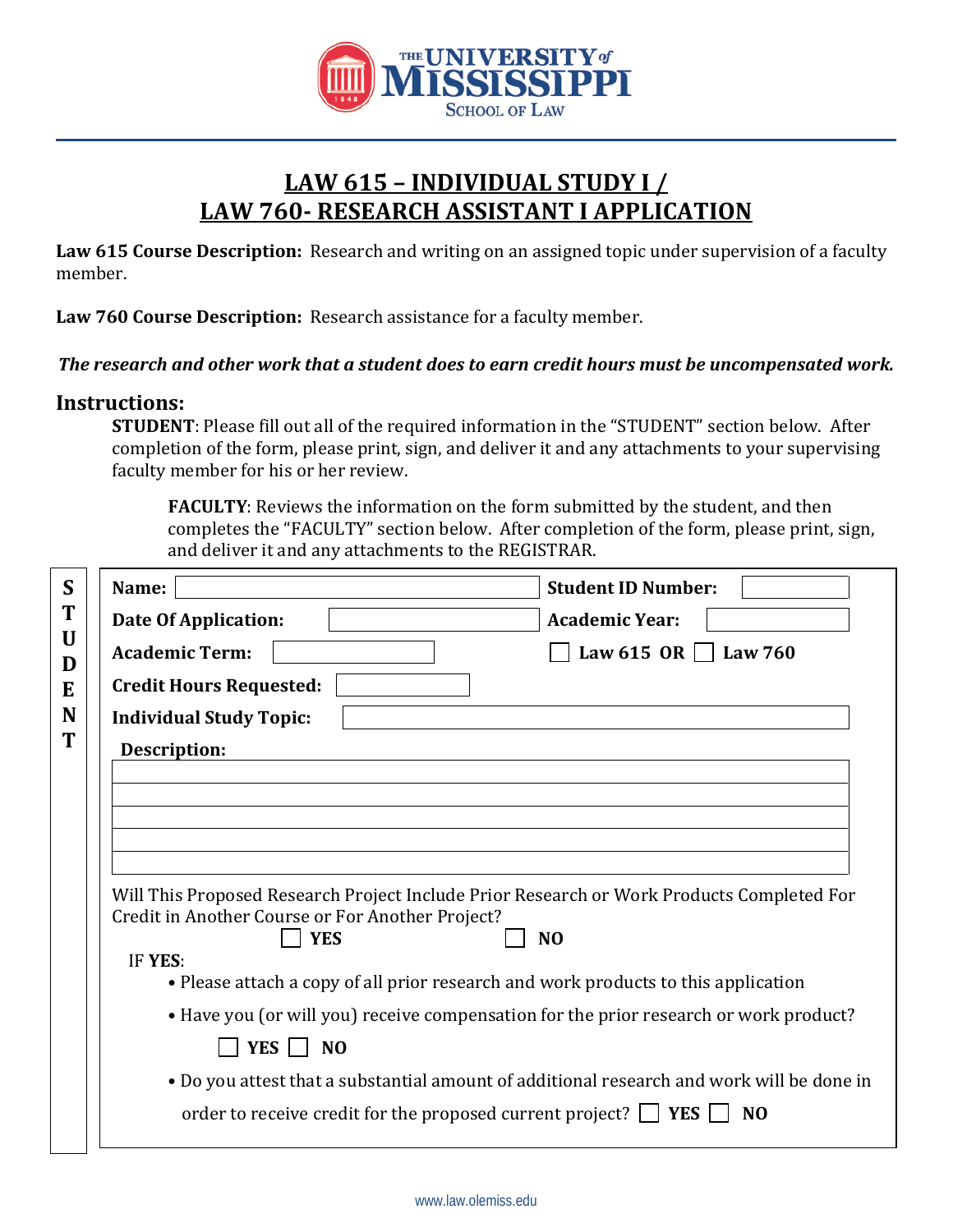

## **LAW 615 – INDIVIDUAL STUDY I / LAW 760- RESEARCH ASSISTANT I APPLICATION**

**Law 615 Course Description:** Research and writing on an assigned topic under supervision of a faculty member.

**Law 760 Course Description:** Research assistance for a faculty member.

## *The research and other work that a student does to earn credit hours must be uncompensated work.*

## **Instructions:**

**STUDENT**: Please fill out all of the required information in the "STUDENT" section below. After completion of the form, please print, sign, and deliver it and any attachments to your supervising faculty member for his or her review.

**FACULTY**: Reviews the information on the form submitted by the student, and then completes the "FACULTY" section below. After completion of the form, please print, sign, and deliver it and any attachments to the REGISTRAR.

| Name:                                                                     | <b>Student ID Number:</b>                                                                                   |
|---------------------------------------------------------------------------|-------------------------------------------------------------------------------------------------------------|
| <b>Date Of Application:</b>                                               | <b>Academic Year:</b>                                                                                       |
| <b>Academic Term:</b>                                                     | Law 615 OR $\Box$ Law 760                                                                                   |
| <b>Credit Hours Requested:</b>                                            |                                                                                                             |
| <b>Individual Study Topic:</b>                                            |                                                                                                             |
| T<br>Description:                                                         |                                                                                                             |
|                                                                           |                                                                                                             |
|                                                                           |                                                                                                             |
|                                                                           |                                                                                                             |
|                                                                           |                                                                                                             |
| Credit in Another Course or For Another Project?<br><b>YES</b><br>IF YES: | Will This Proposed Research Project Include Prior Research or Work Products Completed For<br>N <sub>O</sub> |
|                                                                           | • Please attach a copy of all prior research and work products to this application                          |
|                                                                           | • Have you (or will you) receive compensation for the prior research or work product?                       |
| <b>YES</b><br>N <sub>O</sub>                                              |                                                                                                             |
|                                                                           | . Do you attest that a substantial amount of additional research and work will be done in                   |
|                                                                           | order to receive credit for the proposed current project? $\Box$ YES<br>N <sub>O</sub>                      |